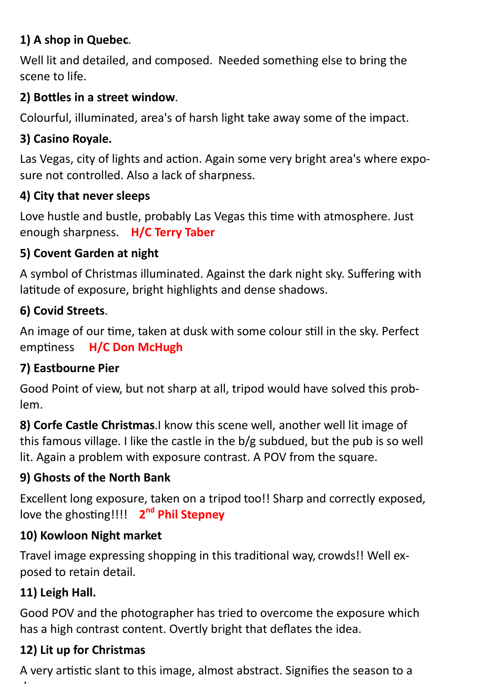# **1) A shop in Quebec**.

Well lit and detailed, and composed. Needed something else to bring the scene to life.

# **2) Bottles in a street window**.

Colourful, illuminated, area's of harsh light take away some of the impact.

# **3) Casino Royale.**

Las Vegas, city of lights and action. Again some very bright area's where exposure not controlled. Also a lack of sharpness.

### **4) City that never sleeps**

Love hustle and bustle, probably Las Vegas this time with atmosphere. Just enough sharpness. **H/C Terry Taber**

### **5) Covent Garden at night**

A symbol of Christmas illuminated. Against the dark night sky. Suffering with latitude of exposure, bright highlights and dense shadows.

### **6) Covid Streets**.

An image of our time, taken at dusk with some colour still in the sky. Perfect emptiness **H/C Don McHugh**

### **7) Eastbourne Pier**

Good Point of view, but not sharp at all, tripod would have solved this problem.

**8) Corfe Castle Christmas**.I know this scene well, another well lit image of this famous village. I like the castle in the b/g subdued, but the pub is so well lit. Again a problem with exposure contrast. A POV from the square.

# **9) Ghosts of the North Bank**

Excellent long exposure, taken on a tripod too!! Sharp and correctly exposed, love the ghosting!!!! **2 nd Phil Stepney**

### **10) Kowloon Night market**

Travel image expressing shopping in this traditional way, crowds!! Well exposed to retain detail.

# **11) Leigh Hall.**

Good POV and the photographer has tried to overcome the exposure which has a high contrast content. Overtly bright that deflates the idea.

# **12) Lit up for Christmas**

A very artistic slant to this image, almost abstract. Signifies the season to a degree. The contract of the